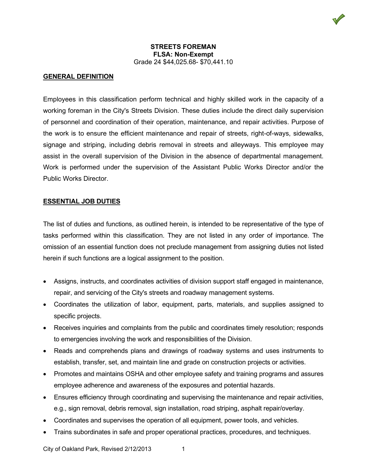### **GENERAL DEFINITION**

Employees in this classification perform technical and highly skilled work in the capacity of a working foreman in the City's Streets Division. These duties include the direct daily supervision of personnel and coordination of their operation, maintenance, and repair activities. Purpose of the work is to ensure the efficient maintenance and repair of streets, right-of-ways, sidewalks, signage and striping, including debris removal in streets and alleyways. This employee may assist in the overall supervision of the Division in the absence of departmental management. Work is performed under the supervision of the Assistant Public Works Director and/or the Public Works Director.

#### **ESSENTIAL JOB DUTIES**

The list of duties and functions, as outlined herein, is intended to be representative of the type of tasks performed within this classification. They are not listed in any order of importance. The omission of an essential function does not preclude management from assigning duties not listed herein if such functions are a logical assignment to the position.

- Assigns, instructs, and coordinates activities of division support staff engaged in maintenance, repair, and servicing of the City's streets and roadway management systems.
- Coordinates the utilization of labor, equipment, parts, materials, and supplies assigned to specific projects.
- Receives inquiries and complaints from the public and coordinates timely resolution; responds to emergencies involving the work and responsibilities of the Division.
- Reads and comprehends plans and drawings of roadway systems and uses instruments to establish, transfer, set, and maintain line and grade on construction projects or activities.
- Promotes and maintains OSHA and other employee safety and training programs and assures employee adherence and awareness of the exposures and potential hazards.
- Ensures efficiency through coordinating and supervising the maintenance and repair activities, e.g., sign removal, debris removal, sign installation, road striping, asphalt repair/overlay.
- Coordinates and supervises the operation of all equipment, power tools, and vehicles.
- Trains subordinates in safe and proper operational practices, procedures, and techniques.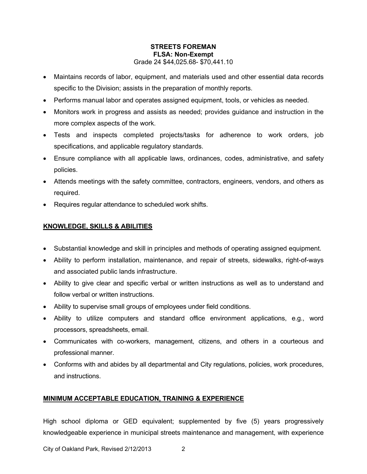- Maintains records of labor, equipment, and materials used and other essential data records specific to the Division; assists in the preparation of monthly reports.
- Performs manual labor and operates assigned equipment, tools, or vehicles as needed.
- Monitors work in progress and assists as needed; provides guidance and instruction in the more complex aspects of the work.
- Tests and inspects completed projects/tasks for adherence to work orders, job specifications, and applicable regulatory standards.
- Ensure compliance with all applicable laws, ordinances, codes, administrative, and safety policies.
- Attends meetings with the safety committee, contractors, engineers, vendors, and others as required.
- Requires regular attendance to scheduled work shifts.

# **KNOWLEDGE, SKILLS & ABILITIES**

- Substantial knowledge and skill in principles and methods of operating assigned equipment.
- Ability to perform installation, maintenance, and repair of streets, sidewalks, right-of-ways and associated public lands infrastructure.
- Ability to give clear and specific verbal or written instructions as well as to understand and follow verbal or written instructions.
- Ability to supervise small groups of employees under field conditions.
- Ability to utilize computers and standard office environment applications, e.g., word processors, spreadsheets, email.
- Communicates with co-workers, management, citizens, and others in a courteous and professional manner.
- Conforms with and abides by all departmental and City regulations, policies, work procedures, and instructions.

## **MINIMUM ACCEPTABLE EDUCATION, TRAINING & EXPERIENCE**

High school diploma or GED equivalent; supplemented by five (5) years progressively knowledgeable experience in municipal streets maintenance and management, with experience

City of Oakland Park, Revised 2/12/2013 2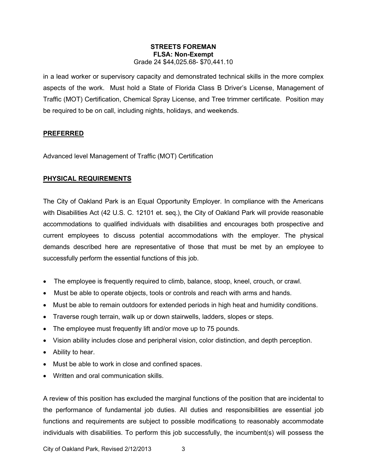in a lead worker or supervisory capacity and demonstrated technical skills in the more complex aspects of the work. Must hold a State of Florida Class B Driver's License, Management of Traffic (MOT) Certification, Chemical Spray License, and Tree trimmer certificate. Position may be required to be on call, including nights, holidays, and weekends.

## **PREFERRED**

Advanced level Management of Traffic (MOT) Certification

# **PHYSICAL REQUIREMENTS**

The City of Oakland Park is an Equal Opportunity Employer. In compliance with the Americans with Disabilities Act (42 U.S. C. 12101 et. seq.), the City of Oakland Park will provide reasonable accommodations to qualified individuals with disabilities and encourages both prospective and current employees to discuss potential accommodations with the employer. The physical demands described here are representative of those that must be met by an employee to successfully perform the essential functions of this job.

- The employee is frequently required to climb, balance, stoop, kneel, crouch, or crawl.
- Must be able to operate objects, tools or controls and reach with arms and hands.
- Must be able to remain outdoors for extended periods in high heat and humidity conditions.
- Traverse rough terrain, walk up or down stairwells, ladders, slopes or steps.
- The employee must frequently lift and/or move up to 75 pounds.
- Vision ability includes close and peripheral vision, color distinction, and depth perception.
- Ability to hear.
- Must be able to work in close and confined spaces.
- Written and oral communication skills.

A review of this position has excluded the marginal functions of the position that are incidental to the performance of fundamental job duties. All duties and responsibilities are essential job functions and requirements are subject to possible modifications to reasonably accommodate individuals with disabilities. To perform this job successfully, the incumbent(s) will possess the